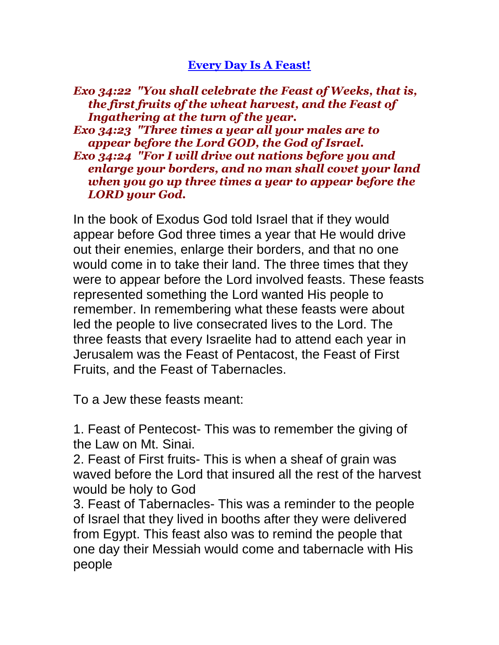## **Every Day Is A Feast!**

## *Exo 34:22 "You shall celebrate the Feast of Weeks, that is, the first fruits of the wheat harvest, and the Feast of Ingathering at the turn of the year.*

*Exo 34:23 "Three times a year all your males are to appear before the Lord GOD, the God of Israel.* 

*Exo 34:24 "For I will drive out nations before you and enlarge your borders, and no man shall covet your land when you go up three times a year to appear before the LORD your God.* 

In the book of Exodus God told Israel that if they would appear before God three times a year that He would drive out their enemies, enlarge their borders, and that no one would come in to take their land. The three times that they were to appear before the Lord involved feasts. These feasts represented something the Lord wanted His people to remember. In remembering what these feasts were about led the people to live consecrated lives to the Lord. The three feasts that every Israelite had to attend each year in Jerusalem was the Feast of Pentacost, the Feast of First Fruits, and the Feast of Tabernacles.

To a Jew these feasts meant:

1. Feast of Pentecost- This was to remember the giving of the Law on Mt. Sinai.

2. Feast of First fruits- This is when a sheaf of grain was waved before the Lord that insured all the rest of the harvest would be holy to God

3. Feast of Tabernacles- This was a reminder to the people of Israel that they lived in booths after they were delivered from Egypt. This feast also was to remind the people that one day their Messiah would come and tabernacle with His people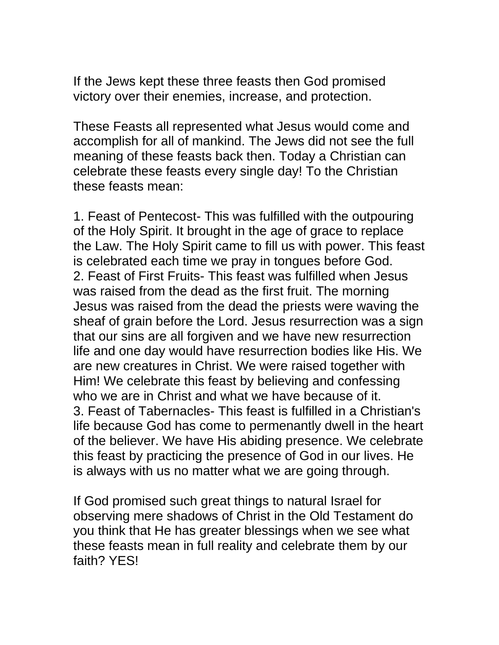If the Jews kept these three feasts then God promised victory over their enemies, increase, and protection.

These Feasts all represented what Jesus would come and accomplish for all of mankind. The Jews did not see the full meaning of these feasts back then. Today a Christian can celebrate these feasts every single day! To the Christian these feasts mean:

1. Feast of Pentecost- This was fulfilled with the outpouring of the Holy Spirit. It brought in the age of grace to replace the Law. The Holy Spirit came to fill us with power. This feast is celebrated each time we pray in tongues before God. 2. Feast of First Fruits- This feast was fulfilled when Jesus was raised from the dead as the first fruit. The morning Jesus was raised from the dead the priests were waving the sheaf of grain before the Lord. Jesus resurrection was a sign that our sins are all forgiven and we have new resurrection life and one day would have resurrection bodies like His. We are new creatures in Christ. We were raised together with Him! We celebrate this feast by believing and confessing who we are in Christ and what we have because of it. 3. Feast of Tabernacles- This feast is fulfilled in a Christian's life because God has come to permenantly dwell in the heart of the believer. We have His abiding presence. We celebrate this feast by practicing the presence of God in our lives. He is always with us no matter what we are going through.

If God promised such great things to natural Israel for observing mere shadows of Christ in the Old Testament do you think that He has greater blessings when we see what these feasts mean in full reality and celebrate them by our faith? YES!